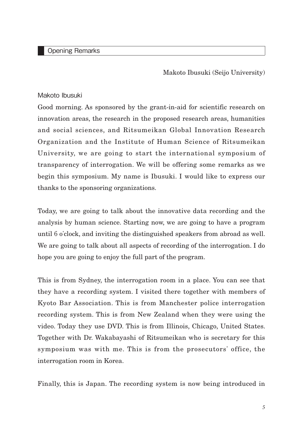## Opening Remarks

Makoto Ibusuki (Seijo University)

## Makoto Ibusuki

Good morning. As sponsored by the grant-in-aid for scientific research on innovation areas, the research in the proposed research areas, humanities and social sciences, and Ritsumeikan Global Innovation Research Organization and the Institute of Human Science of Ritsumeikan University, we are going to start the international symposium of transparency of interrogation. We will be offering some remarks as we begin this symposium. My name is Ibusuki. I would like to express our thanks to the sponsoring organizations.

Today, we are going to talk about the innovative data recording and the analysis by human science. Starting now, we are going to have a program until 6 o'clock, and inviting the distinguished speakers from abroad as well. We are going to talk about all aspects of recording of the interrogation. I do hope you are going to enjoy the full part of the program.

This is from Sydney, the interrogation room in a place. You can see that they have a recording system. I visited there together with members of Kyoto Bar Association. This is from Manchester police interrogation recording system. This is from New Zealand when they were using the video. Today they use DVD. This is from Illinois, Chicago, United States. Together with Dr. Wakabayashi of Ritsumeikan who is secretary for this symposium was with me. This is from the prosecutors' office, the interrogation room in Korea.

Finally, this is Japan. The recording system is now being introduced in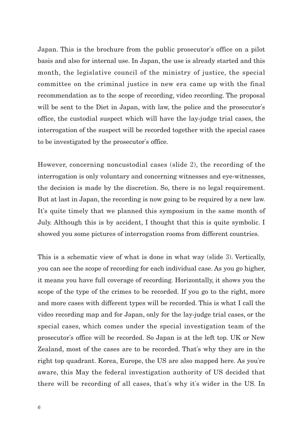Japan. This is the brochure from the public prosecutor's office on a pilot basis and also for internal use. In Japan, the use is already started and this month, the legislative council of the ministry of justice, the special committee on the criminal justice in new era came up with the final recommendation as to the scope of recording, video recording. The proposal will be sent to the Diet in Japan, with law, the police and the prosecutor's office, the custodial suspect which will have the lay-judge trial cases, the interrogation of the suspect will be recorded together with the special cases to be investigated by the prosecutor's office.

However, concerning noncustodial cases (slide 2), the recording of the interrogation is only voluntary and concerning witnesses and eye-witnesses, the decision is made by the discretion. So, there is no legal requirement. But at last in Japan, the recording is now going to be required by a new law. It's quite timely that we planned this symposium in the same month of July. Although this is by accident, I thought that this is quite symbolic. I showed you some pictures of interrogation rooms from different countries.

This is a schematic view of what is done in what way (slide 3). Vertically, you can see the scope of recording for each individual case. As you go higher, it means you have full coverage of recording. Horizontally, it shows you the scope of the type of the crimes to be recorded. If you go to the right, more and more cases with different types will be recorded. This is what I call the video recording map and for Japan, only for the lay-judge trial cases, or the special cases, which comes under the special investigation team of the prosecutor's office will be recorded. So Japan is at the left top. UK or New Zealand, most of the cases are to be recorded. That's why they are in the right top quadrant. Korea, Europe, the US are also mapped here. As you're aware, this May the federal investigation authority of US decided that there will be recording of all cases, that's why it's wider in the US. In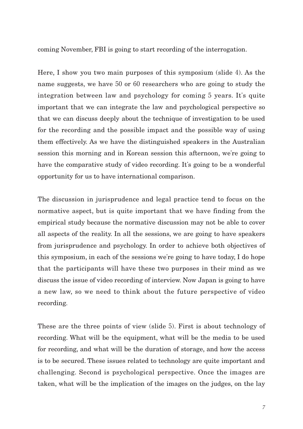coming November, FBI is going to start recording of the interrogation.

Here, I show you two main purposes of this symposium (slide 4). As the name suggests, we have 50 or 60 researchers who are going to study the integration between law and psychology for coming 5 years. It's quite important that we can integrate the law and psychological perspective so that we can discuss deeply about the technique of investigation to be used for the recording and the possible impact and the possible way of using them effectively. As we have the distinguished speakers in the Australian session this morning and in Korean session this afternoon, we're going to have the comparative study of video recording. It's going to be a wonderful opportunity for us to have international comparison.

The discussion in jurisprudence and legal practice tend to focus on the normative aspect, but is quite important that we have finding from the empirical study because the normative discussion may not be able to cover all aspects of the reality. In all the sessions, we are going to have speakers from jurisprudence and psychology. In order to achieve both objectives of this symposium, in each of the sessions we're going to have today, I do hope that the participants will have these two purposes in their mind as we discuss the issue of video recording of interview. Now Japan is going to have a new law, so we need to think about the future perspective of video recording.

These are the three points of view (slide 5). First is about technology of recording. What will be the equipment, what will be the media to be used for recording, and what will be the duration of storage, and how the access is to be secured. These issues related to technology are quite important and challenging. Second is psychological perspective. Once the images are taken, what will be the implication of the images on the judges, on the lay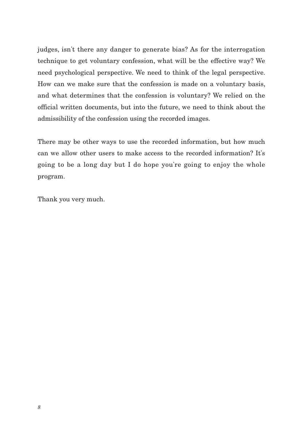judges, isn't there any danger to generate bias? As for the interrogation technique to get voluntary confession, what will be the effective way? We need psychological perspective. We need to think of the legal perspective. How can we make sure that the confession is made on a voluntary basis, and what determines that the confession is voluntary? We relied on the official written documents, but into the future, we need to think about the admissibility of the confession using the recorded images.

There may be other ways to use the recorded information, but how much can we allow other users to make access to the recorded information? It's going to be a long day but I do hope you're going to enjoy the whole program.

Thank you very much.